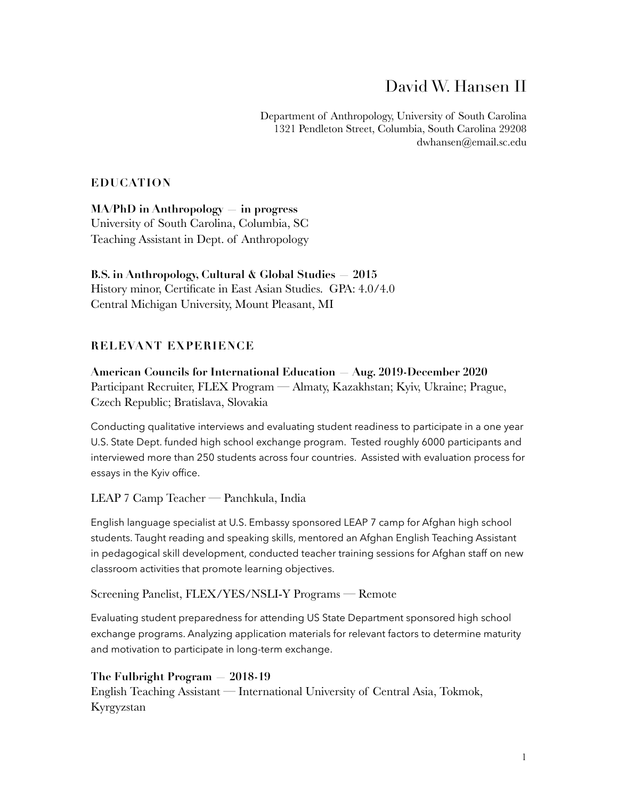# David W. Hansen II

Department of Anthropology, University of South Carolina 1321 Pendleton Street, Columbia, South Carolina 29208 dwhansen@email.sc.edu

## **EDUCATION**

**MA/PhD in Anthropology — in progress**  University of South Carolina, Columbia, SC Teaching Assistant in Dept. of Anthropology

**B.S. in Anthropology, Cultural & Global Studies — 2015**  History minor, Certificate in East Asian Studies. GPA: 4.0/4.0 Central Michigan University, Mount Pleasant, MI

# **RELEVANT EXPERIENCE**

**American Councils for International Education — Aug. 2019-December 2020**  Participant Recruiter, FLEX Program — Almaty, Kazakhstan; Kyiv, Ukraine; Prague, Czech Republic; Bratislava, Slovakia

Conducting qualitative interviews and evaluating student readiness to participate in a one year U.S. State Dept. funded high school exchange program. Tested roughly 6000 participants and interviewed more than 250 students across four countries. Assisted with evaluation process for essays in the Kyiv office.

#### LEAP 7 Camp Teacher — Panchkula, India

English language specialist at U.S. Embassy sponsored LEAP 7 camp for Afghan high school students. Taught reading and speaking skills, mentored an Afghan English Teaching Assistant in pedagogical skill development, conducted teacher training sessions for Afghan staff on new classroom activities that promote learning objectives.

Screening Panelist, FLEX/YES/NSLI-Y Programs — Remote

Evaluating student preparedness for attending US State Department sponsored high school exchange programs. Analyzing application materials for relevant factors to determine maturity and motivation to participate in long-term exchange.

# **The Fulbright Program — 2018-19**

English Teaching Assistant — International University of Central Asia, Tokmok, Kyrgyzstan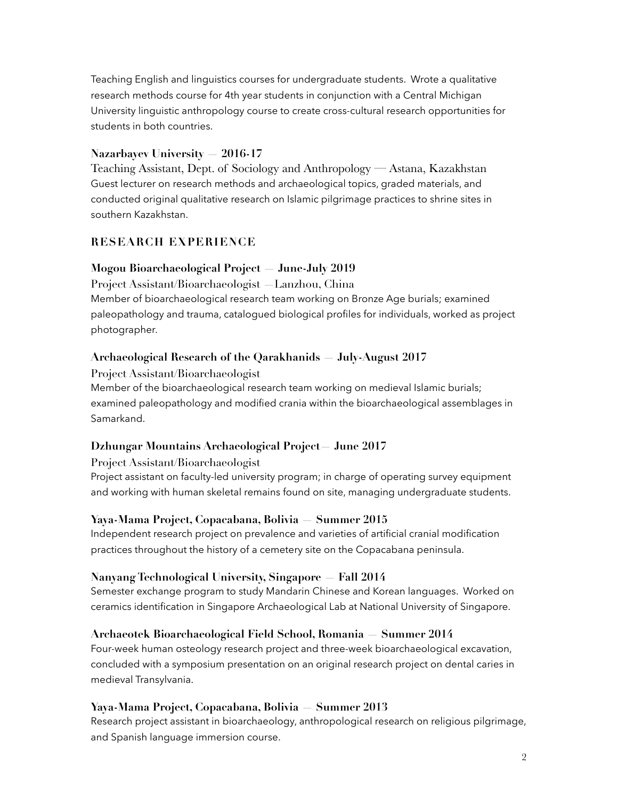Teaching English and linguistics courses for undergraduate students. Wrote a qualitative research methods course for 4th year students in conjunction with a Central Michigan University linguistic anthropology course to create cross-cultural research opportunities for students in both countries.

## **Nazarbayev University — 2016-17**

Teaching Assistant, Dept. of Sociology and Anthropology — Astana, Kazakhstan Guest lecturer on research methods and archaeological topics, graded materials, and conducted original qualitative research on Islamic pilgrimage practices to shrine sites in southern Kazakhstan.

### **RESEARCH EXPERIENCE**

#### **Mogou Bioarchaeological Project — June-July 2019**

Project Assistant/Bioarchaeologist —Lanzhou, China Member of bioarchaeological research team working on Bronze Age burials; examined paleopathology and trauma, catalogued biological profiles for individuals, worked as project photographer.

#### **Archaeological Research of the Qarakhanids — July-August 2017**

Project Assistant/Bioarchaeologist Member of the bioarchaeological research team working on medieval Islamic burials; examined paleopathology and modified crania within the bioarchaeological assemblages in Samarkand.

#### **Dzhungar Mountains Archaeological Project— June 2017**

Project Assistant/Bioarchaeologist

Project assistant on faculty-led university program; in charge of operating survey equipment and working with human skeletal remains found on site, managing undergraduate students.

#### **Yaya-Mama Project, Copacabana, Bolivia — Summer 2015**

Independent research project on prevalence and varieties of artificial cranial modification practices throughout the history of a cemetery site on the Copacabana peninsula.

#### **Nanyang Technological University, Singapore — Fall 2014**

Semester exchange program to study Mandarin Chinese and Korean languages. Worked on ceramics identification in Singapore Archaeological Lab at National University of Singapore.

#### **Archaeotek Bioarchaeological Field School, Romania — Summer 2014**

Four-week human osteology research project and three-week bioarchaeological excavation, concluded with a symposium presentation on an original research project on dental caries in medieval Transylvania.

#### **Yaya-Mama Project, Copacabana, Bolivia — Summer 2013**

Research project assistant in bioarchaeology, anthropological research on religious pilgrimage, and Spanish language immersion course.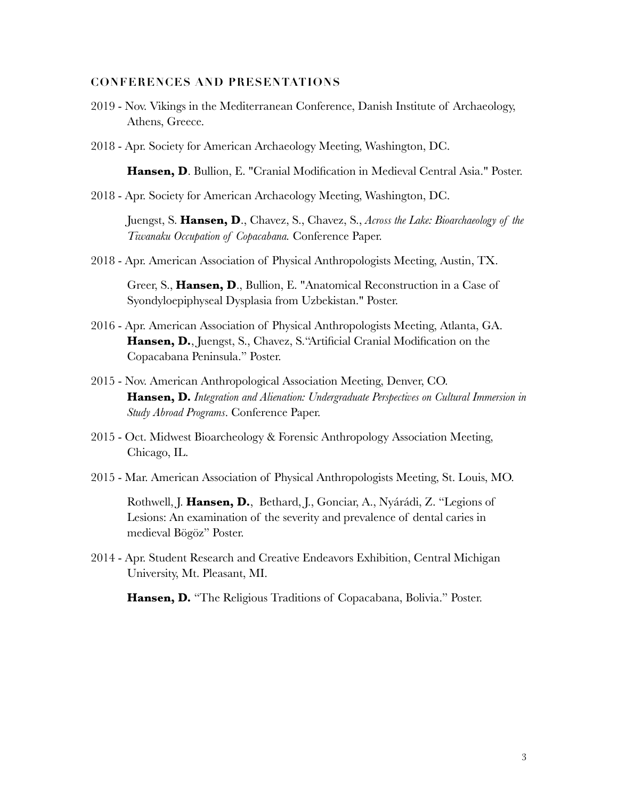#### **CONFERENCES AND PRESENTATIONS**

- 2019 Nov. Vikings in the Mediterranean Conference, Danish Institute of Archaeology, Athens, Greece.
- 2018 Apr. Society for American Archaeology Meeting, Washington, DC.

**Hansen, D**. Bullion, E. "Cranial Modification in Medieval Central Asia." Poster.

2018 - Apr. Society for American Archaeology Meeting, Washington, DC.

Juengst, S. **Hansen, D**., Chavez, S., Chavez, S., *Across the Lake: Bioarchaeology of the Tiwanaku Occupation of Copacabana.* Conference Paper.

2018 - Apr. American Association of Physical Anthropologists Meeting, Austin, TX.

Greer, S., **Hansen, D**., Bullion, E. "Anatomical Reconstruction in a Case of Syondyloepiphyseal Dysplasia from Uzbekistan." Poster.

- 2016 Apr. American Association of Physical Anthropologists Meeting, Atlanta, GA. **Hansen, D.**, Juengst, S., Chavez, S."Artificial Cranial Modification on the Copacabana Peninsula." Poster.
- 2015 Nov. American Anthropological Association Meeting, Denver, CO. **Hansen, D.** *Integration and Alienation: Undergraduate Perspectives on Cultural Immersion in Study Abroad Programs*. Conference Paper.
- 2015 Oct. Midwest Bioarcheology & Forensic Anthropology Association Meeting, Chicago, IL.
- 2015 Mar. American Association of Physical Anthropologists Meeting, St. Louis, MO.

Rothwell, J. **Hansen, D.**, Bethard, J., Gonciar, A., Nyárádi, Z. "Legions of Lesions: An examination of the severity and prevalence of dental caries in medieval Bögöz" Poster.

2014 - Apr. Student Research and Creative Endeavors Exhibition, Central Michigan University, Mt. Pleasant, MI.

**Hansen, D.** "The Religious Traditions of Copacabana, Bolivia." Poster.